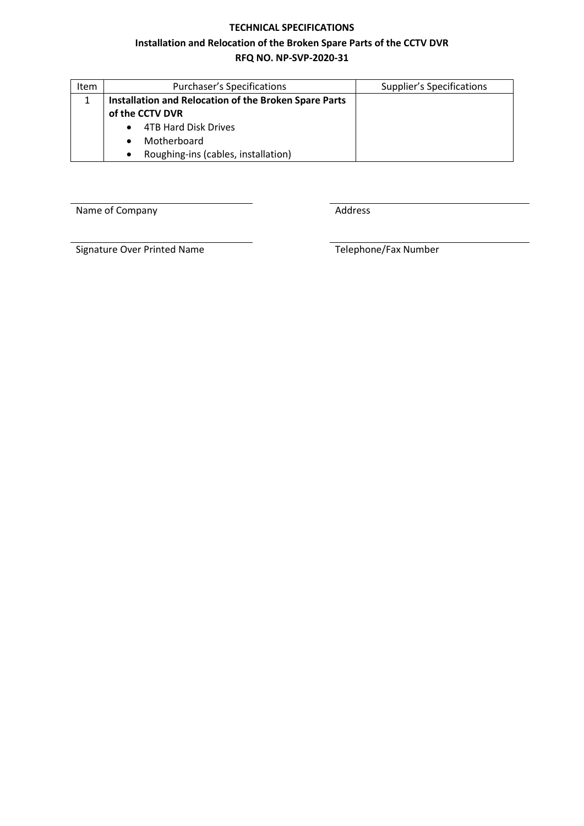#### **TECHNICAL SPECIFICATIONS**

#### **Installation and Relocation of the Broken Spare Parts of the CCTV DVR**

# **RFQ NO. NP-SVP-2020-31**

| <b>Item</b> | <b>Purchaser's Specifications</b>                     | <b>Supplier's Specifications</b> |  |  |  |  |
|-------------|-------------------------------------------------------|----------------------------------|--|--|--|--|
|             | Installation and Relocation of the Broken Spare Parts |                                  |  |  |  |  |
|             | of the CCTV DVR                                       |                                  |  |  |  |  |
|             | <b>4TB Hard Disk Drives</b>                           |                                  |  |  |  |  |
|             | Motherboard                                           |                                  |  |  |  |  |
|             | Roughing-ins (cables, installation)                   |                                  |  |  |  |  |

Name of Company **Address** 

Signature Over Printed Name Telephone/Fax Number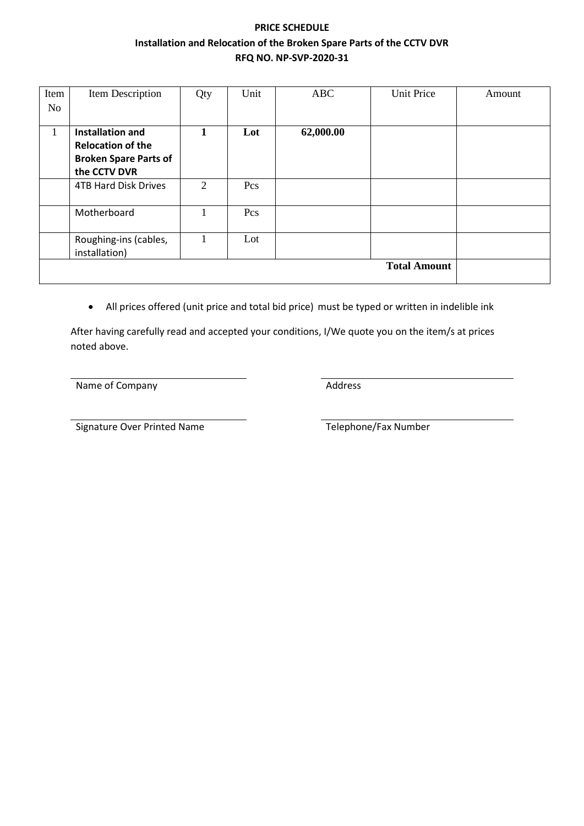# **PRICE SCHEDULE Installation and Relocation of the Broken Spare Parts of the CCTV DVR RFQ NO. NP-SVP-2020-31**

| Item | Item Description             | Qty | Unit | <b>ABC</b> | <b>Unit Price</b>   | Amount |
|------|------------------------------|-----|------|------------|---------------------|--------|
| No   |                              |     |      |            |                     |        |
|      |                              |     |      |            |                     |        |
| 1    | <b>Installation and</b>      |     | Lot  | 62,000.00  |                     |        |
|      | <b>Relocation of the</b>     |     |      |            |                     |        |
|      | <b>Broken Spare Parts of</b> |     |      |            |                     |        |
|      | the CCTV DVR                 |     |      |            |                     |        |
|      | <b>4TB Hard Disk Drives</b>  | 2   | Pcs  |            |                     |        |
|      |                              |     |      |            |                     |        |
|      | Motherboard                  | л.  | Pcs  |            |                     |        |
|      |                              |     |      |            |                     |        |
|      | Roughing-ins (cables,        | 1   | Lot  |            |                     |        |
|      | installation)                |     |      |            |                     |        |
|      |                              |     |      |            | <b>Total Amount</b> |        |
|      |                              |     |      |            |                     |        |

• All prices offered (unit price and total bid price) must be typed or written in indelible ink

After having carefully read and accepted your conditions, I/We quote you on the item/s at prices noted above.

Name of Company **Address** 

Signature Over Printed Name Telephone/Fax Number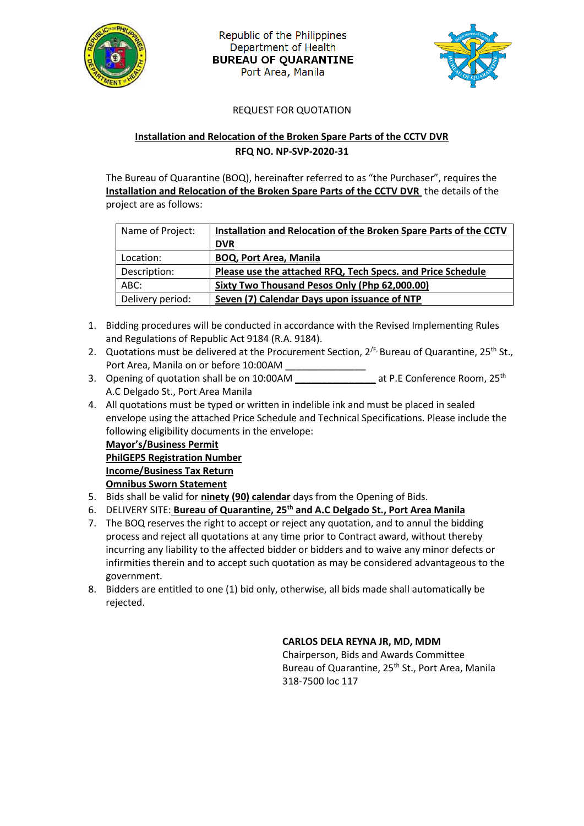

Republic of the Philippines Department of Health **BUREAU OF QUARANTINE** Port Area, Manila



### REQUEST FOR QUOTATION

## **Installation and Relocation of the Broken Spare Parts of the CCTV DVR RFQ NO. NP-SVP-2020-31**

The Bureau of Quarantine (BOQ), hereinafter referred to as "the Purchaser", requires the **Installation and Relocation of the Broken Spare Parts of the CCTV DVR** the details of the project are as follows:

| Name of Project: | Installation and Relocation of the Broken Spare Parts of the CCTV |  |  |
|------------------|-------------------------------------------------------------------|--|--|
|                  | <b>DVR</b>                                                        |  |  |
| Location:        | <b>BOQ, Port Area, Manila</b>                                     |  |  |
| Description:     | Please use the attached RFQ, Tech Specs. and Price Schedule       |  |  |
| ABC:             | Sixty Two Thousand Pesos Only (Php 62,000.00)                     |  |  |
| Delivery period: | Seven (7) Calendar Days upon issuance of NTP                      |  |  |

- 1. Bidding procedures will be conducted in accordance with the Revised Implementing Rules and Regulations of Republic Act 9184 (R.A. 9184).
- 2. Quotations must be delivered at the Procurement Section,  $2^{f_F}$  Bureau of Quarantine,  $25^{th}$  St., Port Area, Manila on or before 10:00AM \_\_\_\_\_\_\_\_\_\_\_\_\_\_\_
- 3. Opening of quotation shall be on 10:00AM **at P.E Conference Room, 25<sup>th</sup>** A.C Delgado St., Port Area Manila
- 4. All quotations must be typed or written in indelible ink and must be placed in sealed envelope using the attached Price Schedule and Technical Specifications. Please include the following eligibility documents in the envelope:

**Mayor's/Business Permit PhilGEPS Registration Number Income/Business Tax Return Omnibus Sworn Statement**

- 5. Bids shall be valid for **ninety (90) calendar** days from the Opening of Bids.
- 6. DELIVERY SITE: **Bureau of Quarantine, 25th and A.C Delgado St., Port Area Manila**
- 7. The BOQ reserves the right to accept or reject any quotation, and to annul the bidding process and reject all quotations at any time prior to Contract award, without thereby incurring any liability to the affected bidder or bidders and to waive any minor defects or infirmities therein and to accept such quotation as may be considered advantageous to the government.
- 8. Bidders are entitled to one (1) bid only, otherwise, all bids made shall automatically be rejected.

### **CARLOS DELA REYNA JR, MD, MDM**

Chairperson, Bids and Awards Committee Bureau of Quarantine, 25<sup>th</sup> St., Port Area, Manila 318-7500 loc 117